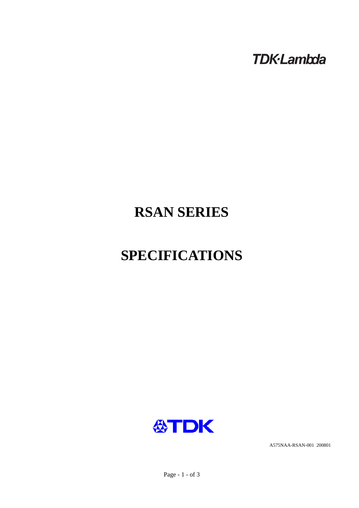**TDK-Lambda** 

# **RSAN SERIES**

# **SPECIFICATIONS**



A575NAA-RSAN-001 200801

Page - 1 - of 3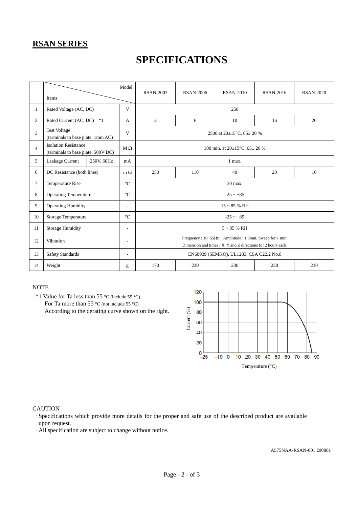### **RSAN SERIES**

## **SPECIFICATIONS**

|                | Items                                                             |            | Model                    | <b>RSAN-2003</b>                                                                                                       | <b>RSAN-2006</b> | <b>RSAN-2010</b> | <b>RSAN-2016</b> | <b>RSAN-2020</b> |  |
|----------------|-------------------------------------------------------------------|------------|--------------------------|------------------------------------------------------------------------------------------------------------------------|------------------|------------------|------------------|------------------|--|
| $\mathbf{1}$   | Rated Voltage (AC, DC)                                            |            | V                        | 250                                                                                                                    |                  |                  |                  |                  |  |
| $\overline{2}$ | Rated Current (AC, DC)<br>$*1$                                    |            | A                        | 3                                                                                                                      | 6                | 10               | 16               | 20               |  |
| 3              | <b>Test Voltage</b><br>(terminals to base plate, 1min AC)         |            | V                        | 2500 at $20\pm15^{\circ}$ C, 65 $\pm$ 20 %                                                                             |                  |                  |                  |                  |  |
| $\overline{4}$ | <b>Isolation Resistance</b><br>(terminals to base plate, 500V DC) |            | $M \Omega$               | 100 min. at $20\pm15^{\circ}$ C, $65\pm20$ %                                                                           |                  |                  |                  |                  |  |
| 5              | Leakage Current                                                   | 250V, 60Hz | mA                       | 1 max.                                                                                                                 |                  |                  |                  |                  |  |
| 6              | DC Resistance (both lines)                                        |            | $m \Omega$               | 250                                                                                                                    | 110              | 40               | 20               | 10               |  |
| $\tau$         | Temperature Rise                                                  |            | $\rm ^{\circ}C$          | 30 max.                                                                                                                |                  |                  |                  |                  |  |
| 8              | <b>Operating Temperature</b>                                      |            | $\rm ^{\circ}C$          | $-25 - +85$                                                                                                            |                  |                  |                  |                  |  |
| 9              | <b>Operating Humidity</b>                                         |            | ٠                        | $15 \sim 85$ % RH                                                                                                      |                  |                  |                  |                  |  |
| 10             | Storage Temperature                                               |            | $\rm ^{\circ}C$          | $-25 - +85$                                                                                                            |                  |                  |                  |                  |  |
| 11             | <b>Storage Humidity</b><br>$\overline{\phantom{a}}$               |            |                          | $5 \sim 85$ % RH                                                                                                       |                  |                  |                  |                  |  |
| 12             | Vibration                                                         |            | $\overline{\phantom{a}}$ | Frequency: 10~55Hz Amplitude: 1.5mm, Sweep for 1 min.<br>Dimension and times : X, Y and Z directions for 2 hours each. |                  |                  |                  |                  |  |
| 13             | <b>Safety Standards</b>                                           |            | $\overline{\phantom{a}}$ | EN60939 (SEMKO), UL1283, CSA C22.2 No.8                                                                                |                  |                  |                  |                  |  |
| 14             | Weight                                                            |            | g                        | 170                                                                                                                    | 230              | 230              | 230              | 230              |  |

#### **NOTE**

 \*1 Value for Ta less than 55 °C (include 55 °C) For Ta more than 55 °C (not include 55 °C) According to the derating curve shown on the right.



#### **CAUTION**

·Specifications which provide more details for the proper and safe use of the described product are available upon request.

·All specification are subject to change without notice.

A575NAA-RSAN-001 200801